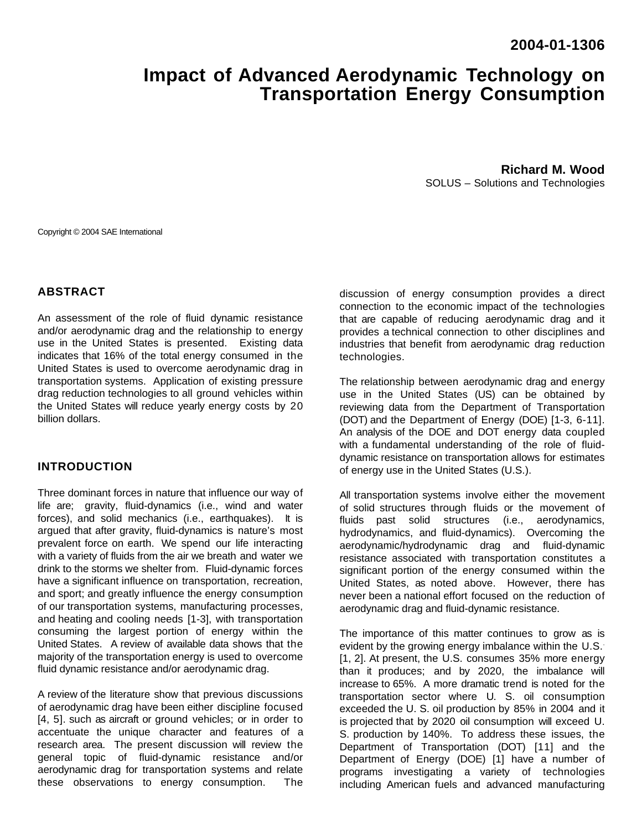## **Impact of Advanced Aerodynamic Technology on Transportation Energy Consumption**

**Richard M. Wood** SOLUS – Solutions and Technologies

Copyright © 2004 SAE International

## **ABSTRACT**

An assessment of the role of fluid dynamic resistance and/or aerodynamic drag and the relationship to energy use in the United States is presented. Existing data indicates that 16% of the total energy consumed in the United States is used to overcome aerodynamic drag in transportation systems. Application of existing pressure drag reduction technologies to all ground vehicles within the United States will reduce yearly energy costs by 20 billion dollars.

## **INTRODUCTION**

Three dominant forces in nature that influence our way of life are; gravity, fluid-dynamics (i.e., wind and water forces), and solid mechanics (i.e., earthquakes). It is argued that after gravity, fluid-dynamics is nature's most prevalent force on earth. We spend our life interacting with a variety of fluids from the air we breath and water we drink to the storms we shelter from. Fluid-dynamic forces have a significant influence on transportation, recreation, and sport; and greatly influence the energy consumption of our transportation systems, manufacturing processes, and heating and cooling needs [1-3], with transportation consuming the largest portion of energy within the United States. A review of available data shows that the majority of the transportation energy is used to overcome fluid dynamic resistance and/or aerodynamic drag.

A review of the literature show that previous discussions of aerodynamic drag have been either discipline focused [4, 5]. such as aircraft or ground vehicles; or in order to accentuate the unique character and features of a research area. The present discussion will review the general topic of fluid-dynamic resistance and/or aerodynamic drag for transportation systems and relate these observations to energy consumption. The

discussion of energy consumption provides a direct connection to the economic impact of the technologies that are capable of reducing aerodynamic drag and it provides a technical connection to other disciplines and industries that benefit from aerodynamic drag reduction technologies.

The relationship between aerodynamic drag and energy use in the United States (US) can be obtained by reviewing data from the Department of Transportation (DOT) and the Department of Energy (DOE) [1-3, 6-11]. An analysis of the DOE and DOT energy data coupled with a fundamental understanding of the role of fluiddynamic resistance on transportation allows for estimates of energy use in the United States (U.S.).

All transportation systems involve either the movement of solid structures through fluids or the movement of fluids past solid structures (i.e., aerodynamics, hydrodynamics, and fluid-dynamics). Overcoming the aerodynamic/hydrodynamic drag and fluid-dynamic resistance associated with transportation constitutes a significant portion of the energy consumed within the United States, as noted above. However, there has never been a national effort focused on the reduction of aerodynamic drag and fluid-dynamic resistance.

The importance of this matter continues to grow as is evident by the growing energy imbalance within the U.S.. [1, 2]. At present, the U.S. consumes 35% more energy than it produces; and by 2020, the imbalance will increase to 65%. A more dramatic trend is noted for the transportation sector where U. S. oil consumption exceeded the U. S. oil production by 85% in 2004 and it is projected that by 2020 oil consumption will exceed U. S. production by 140%. To address these issues, the Department of Transportation (DOT) [11] and the Department of Energy (DOE) [1] have a number of programs investigating a variety of technologies including American fuels and advanced manufacturing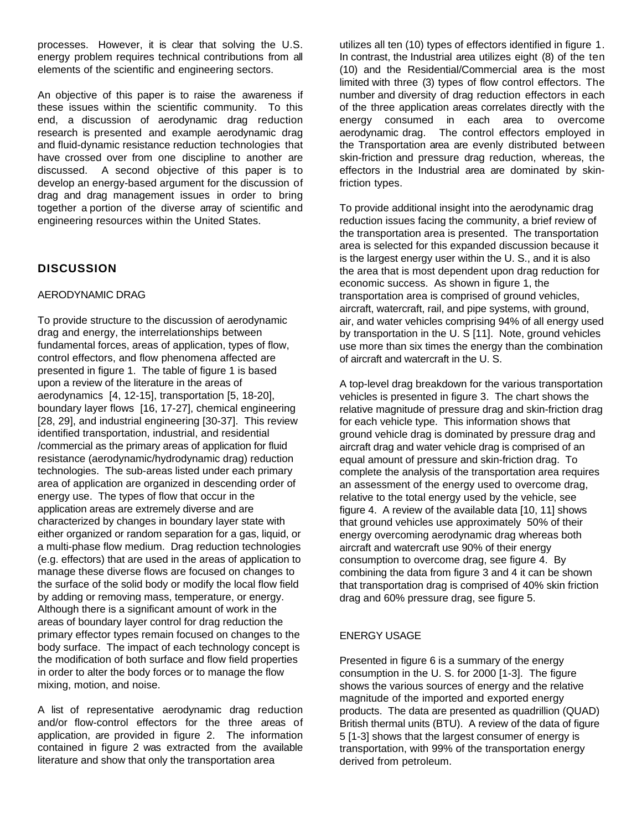processes. However, it is clear that solving the U.S. energy problem requires technical contributions from all elements of the scientific and engineering sectors.

An objective of this paper is to raise the awareness if these issues within the scientific community. To this end, a discussion of aerodynamic drag reduction research is presented and example aerodynamic drag and fluid-dynamic resistance reduction technologies that have crossed over from one discipline to another are discussed. A second objective of this paper is to develop an energy-based argument for the discussion of drag and drag management issues in order to bring together a portion of the diverse array of scientific and engineering resources within the United States.

## **DISCUSSION**

### AERODYNAMIC DRAG

To provide structure to the discussion of aerodynamic drag and energy, the interrelationships between fundamental forces, areas of application, types of flow, control effectors, and flow phenomena affected are presented in figure 1. The table of figure 1 is based upon a review of the literature in the areas of aerodynamics [4, 12-15], transportation [5, 18-20], boundary layer flows [16, 17-27], chemical engineering [28, 29], and industrial engineering [30-37]. This review identified transportation, industrial, and residential /commercial as the primary areas of application for fluid resistance (aerodynamic/hydrodynamic drag) reduction technologies. The sub-areas listed under each primary area of application are organized in descending order of energy use. The types of flow that occur in the application areas are extremely diverse and are characterized by changes in boundary layer state with either organized or random separation for a gas, liquid, or a multi-phase flow medium. Drag reduction technologies (e.g. effectors) that are used in the areas of application to manage these diverse flows are focused on changes to the surface of the solid body or modify the local flow field by adding or removing mass, temperature, or energy. Although there is a significant amount of work in the areas of boundary layer control for drag reduction the primary effector types remain focused on changes to the body surface. The impact of each technology concept is the modification of both surface and flow field properties in order to alter the body forces or to manage the flow mixing, motion, and noise.

A list of representative aerodynamic drag reduction and/or flow-control effectors for the three areas of application, are provided in figure 2. The information contained in figure 2 was extracted from the available literature and show that only the transportation area

utilizes all ten (10) types of effectors identified in figure 1. In contrast, the Industrial area utilizes eight (8) of the ten (10) and the Residential/Commercial area is the most limited with three (3) types of flow control effectors. The number and diversity of drag reduction effectors in each of the three application areas correlates directly with the energy consumed in each area to overcome aerodynamic drag. The control effectors employed in the Transportation area are evenly distributed between skin-friction and pressure drag reduction, whereas, the effectors in the Industrial area are dominated by skinfriction types.

To provide additional insight into the aerodynamic drag reduction issues facing the community, a brief review of the transportation area is presented. The transportation area is selected for this expanded discussion because it is the largest energy user within the U. S., and it is also the area that is most dependent upon drag reduction for economic success. As shown in figure 1, the transportation area is comprised of ground vehicles, aircraft, watercraft, rail, and pipe systems, with ground, air, and water vehicles comprising 94% of all energy used by transportation in the U. S [11]. Note, ground vehicles use more than six times the energy than the combination of aircraft and watercraft in the U. S.

A top-level drag breakdown for the various transportation vehicles is presented in figure 3. The chart shows the relative magnitude of pressure drag and skin-friction drag for each vehicle type. This information shows that ground vehicle drag is dominated by pressure drag and aircraft drag and water vehicle drag is comprised of an equal amount of pressure and skin-friction drag. To complete the analysis of the transportation area requires an assessment of the energy used to overcome drag, relative to the total energy used by the vehicle, see figure 4. A review of the available data [10, 11] shows that ground vehicles use approximately 50% of their energy overcoming aerodynamic drag whereas both aircraft and watercraft use 90% of their energy consumption to overcome drag, see figure 4. By combining the data from figure 3 and 4 it can be shown that transportation drag is comprised of 40% skin friction drag and 60% pressure drag, see figure 5.

## ENERGY USAGE

Presented in figure 6 is a summary of the energy consumption in the U. S. for 2000 [1-3]. The figure shows the various sources of energy and the relative magnitude of the imported and exported energy products. The data are presented as quadrillion (QUAD) British thermal units (BTU). A review of the data of figure 5 [1-3] shows that the largest consumer of energy is transportation, with 99% of the transportation energy derived from petroleum.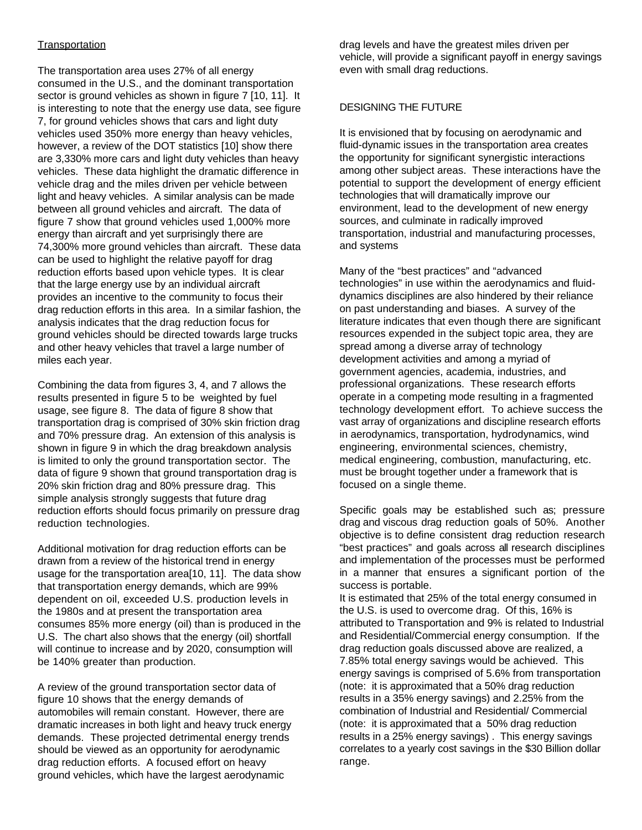## **Transportation**

The transportation area uses 27% of all energy consumed in the U.S., and the dominant transportation sector is ground vehicles as shown in figure 7 [10, 11]. It is interesting to note that the energy use data, see figure 7, for ground vehicles shows that cars and light duty vehicles used 350% more energy than heavy vehicles, however, a review of the DOT statistics [10] show there are 3,330% more cars and light duty vehicles than heavy vehicles. These data highlight the dramatic difference in vehicle drag and the miles driven per vehicle between light and heavy vehicles. A similar analysis can be made between all ground vehicles and aircraft. The data of figure 7 show that ground vehicles used 1,000% more energy than aircraft and yet surprisingly there are 74,300% more ground vehicles than aircraft. These data can be used to highlight the relative payoff for drag reduction efforts based upon vehicle types. It is clear that the large energy use by an individual aircraft provides an incentive to the community to focus their drag reduction efforts in this area. In a similar fashion, the analysis indicates that the drag reduction focus for ground vehicles should be directed towards large trucks and other heavy vehicles that travel a large number of miles each year.

Combining the data from figures 3, 4, and 7 allows the results presented in figure 5 to be weighted by fuel usage, see figure 8. The data of figure 8 show that transportation drag is comprised of 30% skin friction drag and 70% pressure drag. An extension of this analysis is shown in figure 9 in which the drag breakdown analysis is limited to only the ground transportation sector. The data of figure 9 shown that ground transportation drag is 20% skin friction drag and 80% pressure drag. This simple analysis strongly suggests that future drag reduction efforts should focus primarily on pressure drag reduction technologies.

Additional motivation for drag reduction efforts can be drawn from a review of the historical trend in energy usage for the transportation area[10, 11]. The data show that transportation energy demands, which are 99% dependent on oil, exceeded U.S. production levels in the 1980s and at present the transportation area consumes 85% more energy (oil) than is produced in the U.S. The chart also shows that the energy (oil) shortfall will continue to increase and by 2020, consumption will be 140% greater than production.

A review of the ground transportation sector data of figure 10 shows that the energy demands of automobiles will remain constant. However, there are dramatic increases in both light and heavy truck energy demands. These projected detrimental energy trends should be viewed as an opportunity for aerodynamic drag reduction efforts. A focused effort on heavy ground vehicles, which have the largest aerodynamic

drag levels and have the greatest miles driven per vehicle, will provide a significant payoff in energy savings even with small drag reductions.

## DESIGNING THE FUTURE

It is envisioned that by focusing on aerodynamic and fluid-dynamic issues in the transportation area creates the opportunity for significant synergistic interactions among other subject areas. These interactions have the potential to support the development of energy efficient technologies that will dramatically improve our environment, lead to the development of new energy sources, and culminate in radically improved transportation, industrial and manufacturing processes, and systems

Many of the "best practices" and "advanced technologies" in use within the aerodynamics and fluiddynamics disciplines are also hindered by their reliance on past understanding and biases. A survey of the literature indicates that even though there are significant resources expended in the subject topic area, they are spread among a diverse array of technology development activities and among a myriad of government agencies, academia, industries, and professional organizations. These research efforts operate in a competing mode resulting in a fragmented technology development effort. To achieve success the vast array of organizations and discipline research efforts in aerodynamics, transportation, hydrodynamics, wind engineering, environmental sciences, chemistry, medical engineering, combustion, manufacturing, etc. must be brought together under a framework that is focused on a single theme.

Specific goals may be established such as; pressure drag and viscous drag reduction goals of 50%. Another objective is to define consistent drag reduction research "best practices" and goals across all research disciplines and implementation of the processes must be performed in a manner that ensures a significant portion of the success is portable.

It is estimated that 25% of the total energy consumed in the U.S. is used to overcome drag. Of this, 16% is attributed to Transportation and 9% is related to Industrial and Residential/Commercial energy consumption. If the drag reduction goals discussed above are realized, a 7.85% total energy savings would be achieved. This energy savings is comprised of 5.6% from transportation (note: it is approximated that a 50% drag reduction results in a 35% energy savings) and 2.25% from the combination of Industrial and Residential/ Commercial (note: it is approximated that a 50% drag reduction results in a 25% energy savings) . This energy savings correlates to a yearly cost savings in the \$30 Billion dollar range.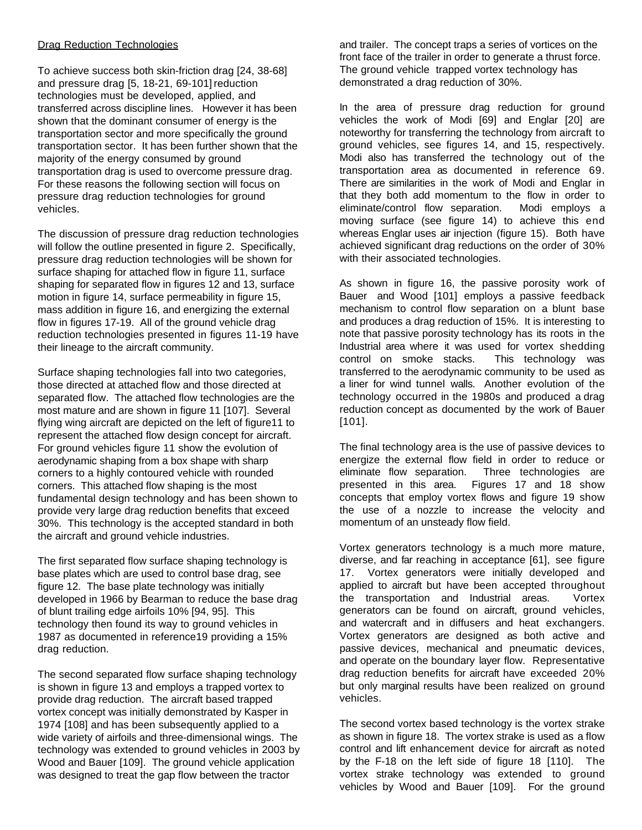### Drag Reduction Technologies

To achieve success both skin-friction drag [24, 38-68] and pressure drag [5, 18-21, 69-101] reduction technologies must be developed, applied, and transferred across discipline lines. However it has been shown that the dominant consumer of energy is the transportation sector and more specifically the ground transportation sector. It has been further shown that the majority of the energy consumed by ground transportation drag is used to overcome pressure drag. For these reasons the following section will focus on pressure drag reduction technologies for ground vehicles.

The discussion of pressure drag reduction technologies will follow the outline presented in figure 2. Specifically, pressure drag reduction technologies will be shown for surface shaping for attached flow in figure 11, surface shaping for separated flow in figures 12 and 13, surface motion in figure 14, surface permeability in figure 15, mass addition in figure 16, and energizing the external flow in figures 17-19. All of the ground vehicle drag reduction technologies presented in figures 11-19 have their lineage to the aircraft community.

Surface shaping technologies fall into two categories, those directed at attached flow and those directed at separated flow. The attached flow technologies are the most mature and are shown in figure 11 [107]. Several flying wing aircraft are depicted on the left of figure11 to represent the attached flow design concept for aircraft. For ground vehicles figure 11 show the evolution of aerodynamic shaping from a box shape with sharp corners to a highly contoured vehicle with rounded corners. This attached flow shaping is the most fundamental design technology and has been shown to provide very large drag reduction benefits that exceed 30%. This technology is the accepted standard in both the aircraft and ground vehicle industries.

The first separated flow surface shaping technology is base plates which are used to control base drag, see figure 12. The base plate technology was initially developed in 1966 by Bearman to reduce the base drag of blunt trailing edge airfoils 10% [94, 95]. This technology then found its way to ground vehicles in 1987 as documented in reference19 providing a 15% drag reduction.

The second separated flow surface shaping technology is shown in figure 13 and employs a trapped vortex to provide drag reduction. The aircraft based trapped vortex concept was initially demonstrated by Kasper in 1974 [108] and has been subsequently applied to a wide variety of airfoils and three-dimensional wings. The technology was extended to ground vehicles in 2003 by Wood and Bauer [109]. The ground vehicle application was designed to treat the gap flow between the tractor

and trailer. The concept traps a series of vortices on the front face of the trailer in order to generate a thrust force. The ground vehicle trapped vortex technology has demonstrated a drag reduction of 30%.

In the area of pressure drag reduction for ground vehicles the work of Modi [69] and Englar [20] are noteworthy for transferring the technology from aircraft to ground vehicles, see figures 14, and 15, respectively. Modi also has transferred the technology out of the transportation area as documented in reference 69. There are similarities in the work of Modi and Englar in that they both add momentum to the flow in order to eliminate/control flow separation. Modi employs a moving surface (see figure 14) to achieve this end whereas Englar uses air injection (figure 15). Both have achieved significant drag reductions on the order of 30% with their associated technologies.

As shown in figure 16, the passive porosity work of Bauer and Wood [101] employs a passive feedback mechanism to control flow separation on a blunt base and produces a drag reduction of 15%. It is interesting to note that passive porosity technology has its roots in the Industrial area where it was used for vortex shedding control on smoke stacks. This technology was transferred to the aerodynamic community to be used as a liner for wind tunnel walls. Another evolution of the technology occurred in the 1980s and produced a drag reduction concept as documented by the work of Bauer [101].

The final technology area is the use of passive devices to energize the external flow field in order to reduce or eliminate flow separation. Three technologies are presented in this area. Figures 17 and 18 show concepts that employ vortex flows and figure 19 show the use of a nozzle to increase the velocity and momentum of an unsteady flow field.

Vortex generators technology is a much more mature, diverse, and far reaching in acceptance [61], see figure 17. Vortex generators were initially developed and applied to aircraft but have been accepted throughout the transportation and Industrial areas. Vortex generators can be found on aircraft, ground vehicles, and watercraft and in diffusers and heat exchangers. Vortex generators are designed as both active and passive devices, mechanical and pneumatic devices, and operate on the boundary layer flow. Representative drag reduction benefits for aircraft have exceeded 20% but only marginal results have been realized on ground vehicles.

The second vortex based technology is the vortex strake as shown in figure 18. The vortex strake is used as a flow control and lift enhancement device for aircraft as noted by the F-18 on the left side of figure 18 [110]. The vortex strake technology was extended to ground vehicles by Wood and Bauer [109]. For the ground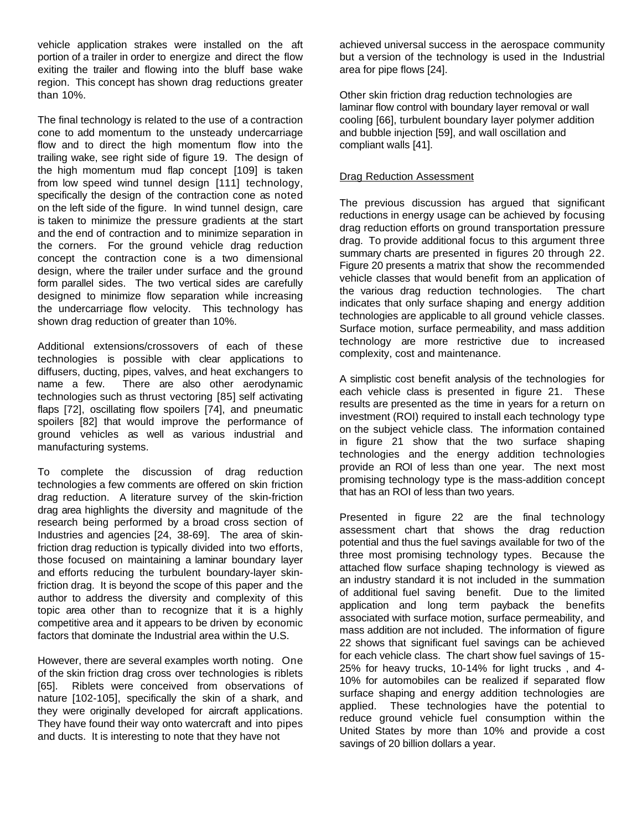vehicle application strakes were installed on the aft portion of a trailer in order to energize and direct the flow exiting the trailer and flowing into the bluff base wake region. This concept has shown drag reductions greater than 10%.

The final technology is related to the use of a contraction cone to add momentum to the unsteady undercarriage flow and to direct the high momentum flow into the trailing wake, see right side of figure 19. The design of the high momentum mud flap concept [109] is taken from low speed wind tunnel design [111] technology, specifically the design of the contraction cone as noted on the left side of the figure. In wind tunnel design, care is taken to minimize the pressure gradients at the start and the end of contraction and to minimize separation in the corners. For the ground vehicle drag reduction concept the contraction cone is a two dimensional design, where the trailer under surface and the ground form parallel sides. The two vertical sides are carefully designed to minimize flow separation while increasing the undercarriage flow velocity. This technology has shown drag reduction of greater than 10%.

Additional extensions/crossovers of each of these technologies is possible with clear applications to diffusers, ducting, pipes, valves, and heat exchangers to name a few. There are also other aerodynamic technologies such as thrust vectoring [85] self activating flaps [72], oscillating flow spoilers [74], and pneumatic spoilers [82] that would improve the performance of ground vehicles as well as various industrial and manufacturing systems.

To complete the discussion of drag reduction technologies a few comments are offered on skin friction drag reduction. A literature survey of the skin-friction drag area highlights the diversity and magnitude of the research being performed by a broad cross section of Industries and agencies [24, 38-69]. The area of skinfriction drag reduction is typically divided into two efforts, those focused on maintaining a laminar boundary layer and efforts reducing the turbulent boundary-layer skinfriction drag. It is beyond the scope of this paper and the author to address the diversity and complexity of this topic area other than to recognize that it is a highly competitive area and it appears to be driven by economic factors that dominate the Industrial area within the U.S.

However, there are several examples worth noting. One of the skin friction drag cross over technologies is riblets [65]. Riblets were conceived from observations of nature [102-105], specifically the skin of a shark, and they were originally developed for aircraft applications. They have found their way onto watercraft and into pipes and ducts. It is interesting to note that they have not

achieved universal success in the aerospace community but a version of the technology is used in the Industrial area for pipe flows [24].

Other skin friction drag reduction technologies are laminar flow control with boundary layer removal or wall cooling [66], turbulent boundary layer polymer addition and bubble injection [59], and wall oscillation and compliant walls [41].

## Drag Reduction Assessment

The previous discussion has argued that significant reductions in energy usage can be achieved by focusing drag reduction efforts on ground transportation pressure drag. To provide additional focus to this argument three summary charts are presented in figures 20 through 22. Figure 20 presents a matrix that show the recommended vehicle classes that would benefit from an application of the various drag reduction technologies. The chart indicates that only surface shaping and energy addition technologies are applicable to all ground vehicle classes. Surface motion, surface permeability, and mass addition technology are more restrictive due to increased complexity, cost and maintenance.

A simplistic cost benefit analysis of the technologies for each vehicle class is presented in figure 21. These results are presented as the time in years for a return on investment (ROI) required to install each technology type on the subject vehicle class. The information contained in figure 21 show that the two surface shaping technologies and the energy addition technologies provide an ROI of less than one year. The next most promising technology type is the mass-addition concept that has an ROI of less than two years.

Presented in figure 22 are the final technology assessment chart that shows the drag reduction potential and thus the fuel savings available for two of the three most promising technology types. Because the attached flow surface shaping technology is viewed as an industry standard it is not included in the summation of additional fuel saving benefit. Due to the limited application and long term payback the benefits associated with surface motion, surface permeability, and mass addition are not included. The information of figure 22 shows that significant fuel savings can be achieved for each vehicle class. The chart show fuel savings of 15- 25% for heavy trucks, 10-14% for light trucks , and 4- 10% for automobiles can be realized if separated flow surface shaping and energy addition technologies are applied. These technologies have the potential to reduce ground vehicle fuel consumption within the United States by more than 10% and provide a cost savings of 20 billion dollars a year.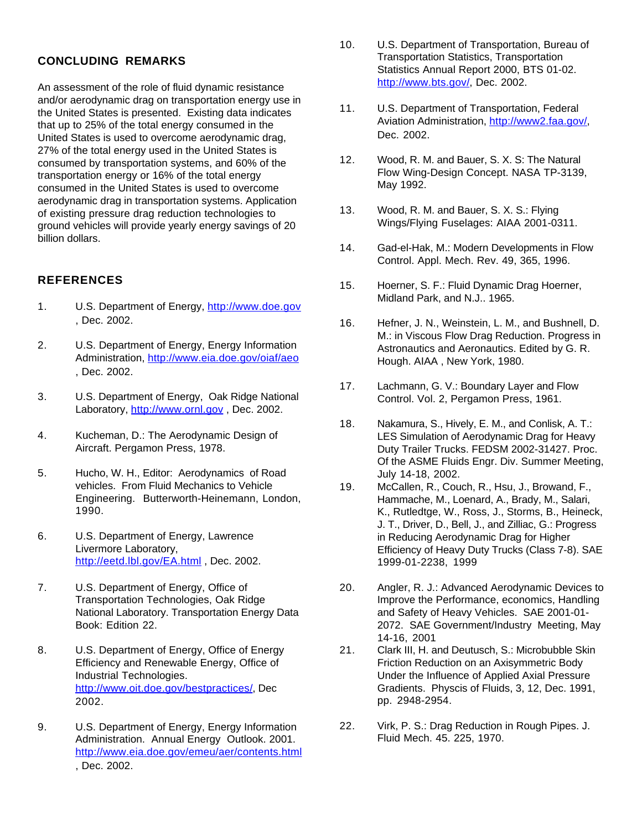## **CONCLUDING REMARKS**

An assessment of the role of fluid dynamic resistance and/or aerodynamic drag on transportation energy use in the United States is presented. Existing data indicates that up to 25% of the total energy consumed in the United States is used to overcome aerodynamic drag, 27% of the total energy used in the United States is consumed by transportation systems, and 60% of the transportation energy or 16% of the total energy consumed in the United States is used to overcome aerodynamic drag in transportation systems. Application of existing pressure drag reduction technologies to ground vehicles will provide yearly energy savings of 20 billion dollars.

## **REFERENCES**

- 1. U.S. Department of Energy, http://www.doe.gov , Dec. 2002.
- 2. U.S. Department of Energy, Energy Information Administration, http://www.eia.doe.gov/oiaf/aeo , Dec. 2002.
- 3. U.S. Department of Energy, Oak Ridge National Laboratory, http://www.ornl.gov , Dec. 2002.
- 4. Kucheman, D.: The Aerodynamic Design of Aircraft. Pergamon Press, 1978.
- 5. Hucho, W. H., Editor: Aerodynamics of Road vehicles. From Fluid Mechanics to Vehicle Engineering. Butterworth-Heinemann, London, 1990.
- 6. U.S. Department of Energy, Lawrence Livermore Laboratory, http://eetd.lbl.gov/EA.html , Dec. 2002.
- 7. U.S. Department of Energy, Office of Transportation Technologies, Oak Ridge National Laboratory. Transportation Energy Data Book: Edition 22.
- 8. U.S. Department of Energy, Office of Energy Efficiency and Renewable Energy, Office of Industrial Technologies. http://www.oit.doe.gov/bestpractices/, Dec 2002.
- 9. U.S. Department of Energy, Energy Information Administration. Annual Energy Outlook. 2001. http://www.eia.doe.gov/emeu/aer/contents.html , Dec. 2002.
- 10. U.S. Department of Transportation, Bureau of Transportation Statistics, Transportation Statistics Annual Report 2000, BTS 01-02. http://www.bts.gov/, Dec. 2002.
- 11. U.S. Department of Transportation, Federal Aviation Administration, http://www2.faa.gov/, Dec. 2002.
- 12. Wood, R. M. and Bauer, S. X. S: The Natural Flow Wing-Design Concept. NASA TP-3139, May 1992.
- 13. Wood, R. M. and Bauer, S. X. S.: Flying Wings/Flying Fuselages: AIAA 2001-0311.
- 14. Gad-el-Hak, M.: Modern Developments in Flow Control. Appl. Mech. Rev. 49, 365, 1996.
- 15. Hoerner, S. F.: Fluid Dynamic Drag Hoerner, Midland Park, and N.J.. 1965.
- 16. Hefner, J. N., Weinstein, L. M., and Bushnell, D. M.: in Viscous Flow Drag Reduction. Progress in Astronautics and Aeronautics. Edited by G. R. Hough. AIAA , New York, 1980.
- 17. Lachmann, G. V.: Boundary Layer and Flow Control. Vol. 2, Pergamon Press, 1961.
- 18. Nakamura, S., Hively, E. M., and Conlisk, A. T.: LES Simulation of Aerodynamic Drag for Heavy Duty Trailer Trucks. FEDSM 2002-31427. Proc. Of the ASME Fluids Engr. Div. Summer Meeting, July 14-18, 2002.
- 19. McCallen, R., Couch, R., Hsu, J., Browand, F., Hammache, M., Loenard, A., Brady, M., Salari, K., Rutledtge, W., Ross, J., Storms, B., Heineck, J. T., Driver, D., Bell, J., and Zilliac, G.: Progress in Reducing Aerodynamic Drag for Higher Efficiency of Heavy Duty Trucks (Class 7-8). SAE 1999-01-2238, 1999
- 20. Angler, R. J.: Advanced Aerodynamic Devices to Improve the Performance, economics, Handling and Safety of Heavy Vehicles. SAE 2001-01- 2072. SAE Government/Industry Meeting, May 14-16, 2001
- 21. Clark III, H. and Deutusch, S.: Microbubble Skin Friction Reduction on an Axisymmetric Body Under the Influence of Applied Axial Pressure Gradients. Physcis of Fluids, 3, 12, Dec. 1991, pp. 2948-2954.
- 22. Virk, P. S.: Drag Reduction in Rough Pipes. J. Fluid Mech. 45. 225, 1970.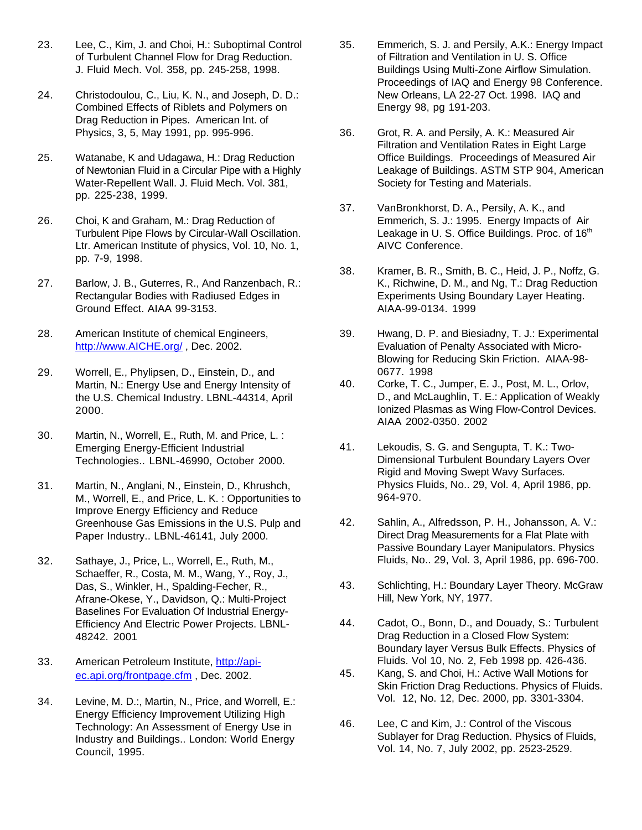- 23. Lee, C., Kim, J. and Choi, H.: Suboptimal Control of Turbulent Channel Flow for Drag Reduction. J. Fluid Mech. Vol. 358, pp. 245-258, 1998.
- 24. Christodoulou, C., Liu, K. N., and Joseph, D. D.: Combined Effects of Riblets and Polymers on Drag Reduction in Pipes. American Int. of Physics, 3, 5, May 1991, pp. 995-996.
- 25. Watanabe, K and Udagawa, H.: Drag Reduction of Newtonian Fluid in a Circular Pipe with a Highly Water-Repellent Wall. J. Fluid Mech. Vol. 381, pp. 225-238, 1999.
- 26. Choi, K and Graham, M.: Drag Reduction of Turbulent Pipe Flows by Circular-Wall Oscillation. Ltr. American Institute of physics, Vol. 10, No. 1, pp. 7-9, 1998.
- 27. Barlow, J. B., Guterres, R., And Ranzenbach, R.: Rectangular Bodies with Radiused Edges in Ground Effect. AIAA 99-3153.
- 28. American Institute of chemical Engineers, http://www.AICHE.org/, Dec. 2002.
- 29. Worrell, E., Phylipsen, D., Einstein, D., and Martin, N.: Energy Use and Energy Intensity of the U.S. Chemical Industry. LBNL-44314, April 2000.
- 30. Martin, N., Worrell, E., Ruth, M. and Price, L. : Emerging Energy-Efficient Industrial Technologies.. LBNL-46990, October 2000.
- 31. Martin, N., Anglani, N., Einstein, D., Khrushch, M., Worrell, E., and Price, L. K. : Opportunities to Improve Energy Efficiency and Reduce Greenhouse Gas Emissions in the U.S. Pulp and Paper Industry.. LBNL-46141, July 2000.
- 32. Sathaye, J., Price, L., Worrell, E., Ruth, M., Schaeffer, R., Costa, M. M., Wang, Y., Roy, J., Das, S., Winkler, H., Spalding-Fecher, R., Afrane-Okese, Y., Davidson, Q.: Multi-Project Baselines For Evaluation Of Industrial Energy-Efficiency And Electric Power Projects. LBNL-48242. 2001
- 33. American Petroleum Institute, http://apiec.api.org/frontpage.cfm , Dec. 2002.
- 34. Levine, M. D.:, Martin, N., Price, and Worrell, E.: Energy Efficiency Improvement Utilizing High Technology: An Assessment of Energy Use in Industry and Buildings.. London: World Energy Council, 1995.
- 35. Emmerich, S. J. and Persily, A.K.: Energy Impact of Filtration and Ventilation in U. S. Office Buildings Using Multi-Zone Airflow Simulation. Proceedings of IAQ and Energy 98 Conference. New Orleans, LA 22-27 Oct. 1998. IAQ and Energy 98, pg 191-203.
- 36. Grot, R. A. and Persily, A. K.: Measured Air Filtration and Ventilation Rates in Eight Large Office Buildings. Proceedings of Measured Air Leakage of Buildings. ASTM STP 904, American Society for Testing and Materials.
- 37. VanBronkhorst, D. A., Persily, A. K., and Emmerich, S. J.: 1995. Energy Impacts of Air Leakage in U. S. Office Buildings. Proc. of 16<sup>th</sup> AIVC Conference.
- 38. Kramer, B. R., Smith, B. C., Heid, J. P., Noffz, G. K., Richwine, D. M., and Ng, T.: Drag Reduction Experiments Using Boundary Layer Heating. AIAA-99-0134. 1999
- 39. Hwang, D. P. and Biesiadny, T. J.: Experimental Evaluation of Penalty Associated with Micro-Blowing for Reducing Skin Friction. AIAA-98- 0677. 1998
- 40. Corke, T. C., Jumper, E. J., Post, M. L., Orlov, D., and McLaughlin, T. E.: Application of Weakly Ionized Plasmas as Wing Flow-Control Devices. AIAA 2002-0350. 2002
- 41. Lekoudis, S. G. and Sengupta, T. K.: Two-Dimensional Turbulent Boundary Layers Over Rigid and Moving Swept Wavy Surfaces. Physics Fluids, No.. 29, Vol. 4, April 1986, pp. 964-970.
- 42. Sahlin, A., Alfredsson, P. H., Johansson, A. V.: Direct Drag Measurements for a Flat Plate with Passive Boundary Layer Manipulators. Physics Fluids, No.. 29, Vol. 3, April 1986, pp. 696-700.
- 43. Schlichting, H.: Boundary Layer Theory. McGraw Hill, New York, NY, 1977.
- 44. Cadot, O., Bonn, D., and Douady, S.: Turbulent Drag Reduction in a Closed Flow System: Boundary layer Versus Bulk Effects. Physics of Fluids. Vol 10, No. 2, Feb 1998 pp. 426-436.
- 45. Kang, S. and Choi, H.: Active Wall Motions for Skin Friction Drag Reductions. Physics of Fluids. Vol. 12, No. 12, Dec. 2000, pp. 3301-3304.
- 46. Lee, C and Kim, J.: Control of the Viscous Sublayer for Drag Reduction. Physics of Fluids, Vol. 14, No. 7, July 2002, pp. 2523-2529.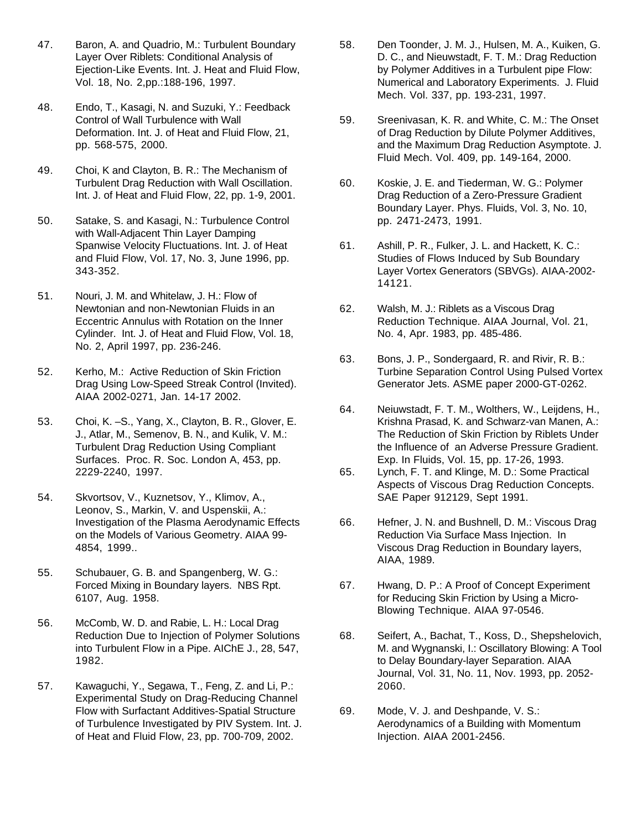- 47. Baron, A. and Quadrio, M.: Turbulent Boundary Layer Over Riblets: Conditional Analysis of Ejection-Like Events. Int. J. Heat and Fluid Flow, Vol. 18, No. 2,pp.:188-196, 1997.
- 48. Endo, T., Kasagi, N. and Suzuki, Y.: Feedback Control of Wall Turbulence with Wall Deformation. Int. J. of Heat and Fluid Flow, 21, pp. 568-575, 2000.
- 49. Choi, K and Clayton, B. R.: The Mechanism of Turbulent Drag Reduction with Wall Oscillation. Int. J. of Heat and Fluid Flow, 22, pp. 1-9, 2001.
- 50. Satake, S. and Kasagi, N.: Turbulence Control with Wall-Adjacent Thin Layer Damping Spanwise Velocity Fluctuations. Int. J. of Heat and Fluid Flow, Vol. 17, No. 3, June 1996, pp. 343-352.
- 51. Nouri, J. M. and Whitelaw, J. H.: Flow of Newtonian and non-Newtonian Fluids in an Eccentric Annulus with Rotation on the Inner Cylinder. Int. J. of Heat and Fluid Flow, Vol. 18, No. 2, April 1997, pp. 236-246.
- 52. Kerho, M.: Active Reduction of Skin Friction Drag Using Low-Speed Streak Control (Invited). AIAA 2002-0271, Jan. 14-17 2002.
- 53. Choi, K. –S., Yang, X., Clayton, B. R., Glover, E. J., Atlar, M., Semenov, B. N., and Kulik, V. M.: Turbulent Drag Reduction Using Compliant Surfaces. Proc. R. Soc. London A, 453, pp. 2229-2240, 1997.
- 54. Skvortsov, V., Kuznetsov, Y., Klimov, A., Leonov, S., Markin, V. and Uspenskii, A.: Investigation of the Plasma Aerodynamic Effects on the Models of Various Geometry. AIAA 99- 4854, 1999..
- 55. Schubauer, G. B. and Spangenberg, W. G.: Forced Mixing in Boundary layers. NBS Rpt. 6107, Aug. 1958.
- 56. McComb, W. D. and Rabie, L. H.: Local Drag Reduction Due to Injection of Polymer Solutions into Turbulent Flow in a Pipe. AIChE J., 28, 547, 1982.
- 57. Kawaguchi, Y., Segawa, T., Feng, Z. and Li, P.: Experimental Study on Drag-Reducing Channel Flow with Surfactant Additives-Spatial Structure of Turbulence Investigated by PIV System. Int. J. of Heat and Fluid Flow, 23, pp. 700-709, 2002.
- 58. Den Toonder, J. M. J., Hulsen, M. A., Kuiken, G. D. C., and Nieuwstadt, F. T. M.: Drag Reduction by Polymer Additives in a Turbulent pipe Flow: Numerical and Laboratory Experiments. J. Fluid Mech. Vol. 337, pp. 193-231, 1997.
- 59. Sreenivasan, K. R. and White, C. M.: The Onset of Drag Reduction by Dilute Polymer Additives, and the Maximum Drag Reduction Asymptote. J. Fluid Mech. Vol. 409, pp. 149-164, 2000.
- 60. Koskie, J. E. and Tiederman, W. G.: Polymer Drag Reduction of a Zero-Pressure Gradient Boundary Layer. Phys. Fluids, Vol. 3, No. 10, pp. 2471-2473, 1991.
- 61. Ashill, P. R., Fulker, J. L. and Hackett, K. C.: Studies of Flows Induced by Sub Boundary Layer Vortex Generators (SBVGs). AIAA-2002- 14121.
- 62. Walsh, M. J.: Riblets as a Viscous Drag Reduction Technique. AIAA Journal, Vol. 21, No. 4, Apr. 1983, pp. 485-486.
- 63. Bons, J. P., Sondergaard, R. and Rivir, R. B.: Turbine Separation Control Using Pulsed Vortex Generator Jets. ASME paper 2000-GT-0262.
- 64. Neiuwstadt, F. T. M., Wolthers, W., Leijdens, H., Krishna Prasad, K. and Schwarz-van Manen, A.: The Reduction of Skin Friction by Riblets Under the Influence of an Adverse Pressure Gradient. Exp. In Fluids, Vol. 15, pp. 17-26, 1993.
- 65. Lynch, F. T. and Klinge, M. D.: Some Practical Aspects of Viscous Drag Reduction Concepts. SAE Paper 912129, Sept 1991.
- 66. Hefner, J. N. and Bushnell, D. M.: Viscous Drag Reduction Via Surface Mass Injection. In Viscous Drag Reduction in Boundary layers, AIAA, 1989.
- 67. Hwang, D. P.: A Proof of Concept Experiment for Reducing Skin Friction by Using a Micro-Blowing Technique. AIAA 97-0546.
- 68. Seifert, A., Bachat, T., Koss, D., Shepshelovich, M. and Wygnanski, I.: Oscillatory Blowing: A Tool to Delay Boundary-layer Separation. AIAA Journal, Vol. 31, No. 11, Nov. 1993, pp. 2052- 2060.
- 69. Mode, V. J. and Deshpande, V. S.: Aerodynamics of a Building with Momentum Injection. AIAA 2001-2456.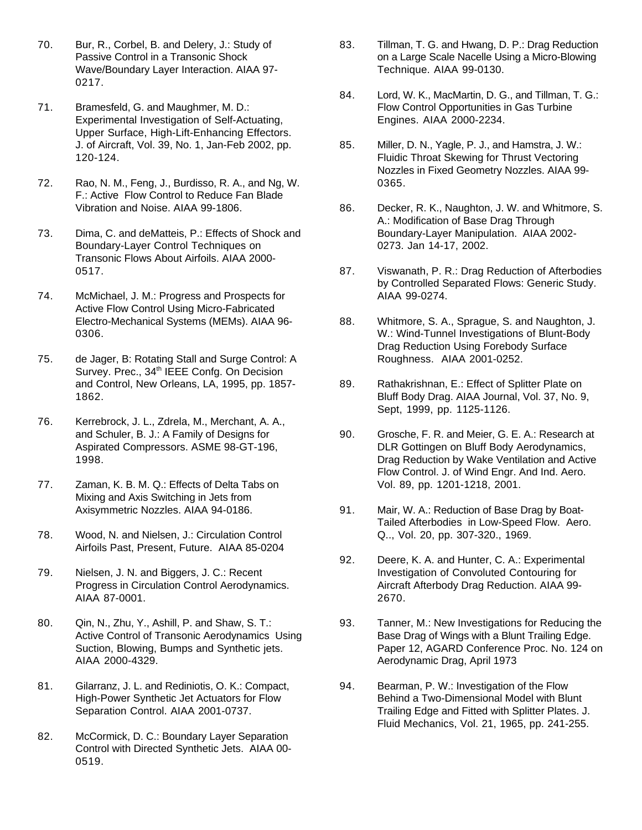- 70. Bur, R., Corbel, B. and Delery, J.: Study of Passive Control in a Transonic Shock Wave/Boundary Layer Interaction. AIAA 97- 0217.
- 71. Bramesfeld, G. and Maughmer, M. D.: Experimental Investigation of Self-Actuating, Upper Surface, High-Lift-Enhancing Effectors. J. of Aircraft, Vol. 39, No. 1, Jan-Feb 2002, pp. 120-124.
- 72. Rao, N. M., Feng, J., Burdisso, R. A., and Ng, W. F.: Active Flow Control to Reduce Fan Blade Vibration and Noise. AIAA 99-1806.
- 73. Dima, C. and deMatteis, P.: Effects of Shock and Boundary-Layer Control Techniques on Transonic Flows About Airfoils. AIAA 2000- 0517.
- 74. McMichael, J. M.: Progress and Prospects for Active Flow Control Using Micro-Fabricated Electro-Mechanical Systems (MEMs). AIAA 96- 0306.
- 75. de Jager, B: Rotating Stall and Surge Control: A Survey. Prec., 34<sup>th</sup> IEEE Confg. On Decision and Control, New Orleans, LA, 1995, pp. 1857- 1862.
- 76. Kerrebrock, J. L., Zdrela, M., Merchant, A. A., and Schuler, B. J.: A Family of Designs for Aspirated Compressors. ASME 98-GT-196, 1998.
- 77. Zaman, K. B. M. Q.: Effects of Delta Tabs on Mixing and Axis Switching in Jets from Axisymmetric Nozzles. AIAA 94-0186.
- 78. Wood, N. and Nielsen, J.: Circulation Control Airfoils Past, Present, Future. AIAA 85-0204
- 79. Nielsen, J. N. and Biggers, J. C.: Recent Progress in Circulation Control Aerodynamics. AIAA 87-0001.
- 80. Qin, N., Zhu, Y., Ashill, P. and Shaw, S. T.: Active Control of Transonic Aerodynamics Using Suction, Blowing, Bumps and Synthetic jets. AIAA 2000-4329.
- 81. Gilarranz, J. L. and Rediniotis, O. K.: Compact, High-Power Synthetic Jet Actuators for Flow Separation Control. AIAA 2001-0737.
- 82. McCormick, D. C.: Boundary Layer Separation Control with Directed Synthetic Jets. AIAA 00- 0519.
- 83. Tillman, T. G. and Hwang, D. P.: Drag Reduction on a Large Scale Nacelle Using a Micro-Blowing Technique. AIAA 99-0130.
- 84. Lord, W. K., MacMartin, D. G., and Tillman, T. G.: Flow Control Opportunities in Gas Turbine Engines. AIAA 2000-2234.
- 85. Miller, D. N., Yagle, P. J., and Hamstra, J. W.: Fluidic Throat Skewing for Thrust Vectoring Nozzles in Fixed Geometry Nozzles. AIAA 99- 0365.
- 86. Decker, R. K., Naughton, J. W. and Whitmore, S. A.: Modification of Base Drag Through Boundary-Layer Manipulation. AIAA 2002- 0273. Jan 14-17, 2002.
- 87. Viswanath, P. R.: Drag Reduction of Afterbodies by Controlled Separated Flows: Generic Study. AIAA 99-0274.
- 88. Whitmore, S. A., Sprague, S. and Naughton, J. W.: Wind-Tunnel Investigations of Blunt-Body Drag Reduction Using Forebody Surface Roughness. AIAA 2001-0252.
- 89. Rathakrishnan, E.: Effect of Splitter Plate on Bluff Body Drag. AIAA Journal, Vol. 37, No. 9, Sept, 1999, pp. 1125-1126.
- 90. Grosche, F. R. and Meier, G. E. A.: Research at DLR Gottingen on Bluff Body Aerodynamics, Drag Reduction by Wake Ventilation and Active Flow Control. J. of Wind Engr. And Ind. Aero. Vol. 89, pp. 1201-1218, 2001.
- 91. Mair, W. A.: Reduction of Base Drag by Boat-Tailed Afterbodies in Low-Speed Flow. Aero. Q.., Vol. 20, pp. 307-320., 1969.
- 92. Deere, K. A. and Hunter, C. A.: Experimental Investigation of Convoluted Contouring for Aircraft Afterbody Drag Reduction. AIAA 99- 2670.
- 93. Tanner, M.: New Investigations for Reducing the Base Drag of Wings with a Blunt Trailing Edge. Paper 12, AGARD Conference Proc. No. 124 on Aerodynamic Drag, April 1973
- 94. Bearman, P. W.: Investigation of the Flow Behind a Two-Dimensional Model with Blunt Trailing Edge and Fitted with Splitter Plates. J. Fluid Mechanics, Vol. 21, 1965, pp. 241-255.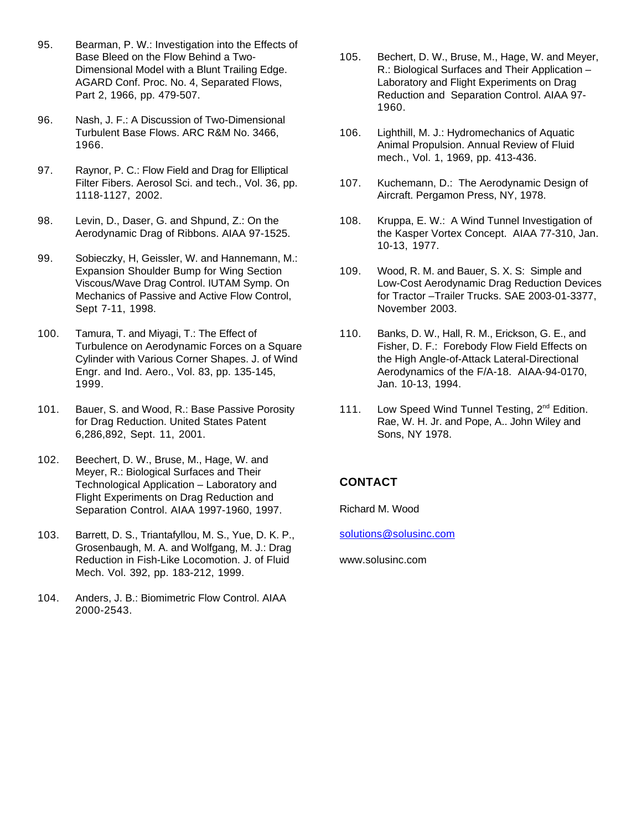- 95. Bearman, P. W.: Investigation into the Effects of Base Bleed on the Flow Behind a Two-Dimensional Model with a Blunt Trailing Edge. AGARD Conf. Proc. No. 4, Separated Flows, Part 2, 1966, pp. 479-507.
- 96. Nash, J. F.: A Discussion of Two-Dimensional Turbulent Base Flows. ARC R&M No. 3466, 1966.
- 97. Raynor, P. C.: Flow Field and Drag for Elliptical Filter Fibers. Aerosol Sci. and tech., Vol. 36, pp. 1118-1127, 2002.
- 98. Levin, D., Daser, G. and Shpund, Z.: On the Aerodynamic Drag of Ribbons. AIAA 97-1525.
- 99. Sobieczky, H, Geissler, W. and Hannemann, M.: Expansion Shoulder Bump for Wing Section Viscous/Wave Drag Control. IUTAM Symp. On Mechanics of Passive and Active Flow Control, Sept 7-11, 1998.
- 100. Tamura, T. and Miyagi, T.: The Effect of Turbulence on Aerodynamic Forces on a Square Cylinder with Various Corner Shapes. J. of Wind Engr. and Ind. Aero., Vol. 83, pp. 135-145, 1999.
- 101. Bauer, S. and Wood, R.: Base Passive Porosity for Drag Reduction. United States Patent 6,286,892, Sept. 11, 2001.
- 102. Beechert, D. W., Bruse, M., Hage, W. and Meyer, R.: Biological Surfaces and Their Technological Application – Laboratory and Flight Experiments on Drag Reduction and Separation Control. AIAA 1997-1960, 1997.
- 103. Barrett, D. S., Triantafyllou, M. S., Yue, D. K. P., Grosenbaugh, M. A. and Wolfgang, M. J.: Drag Reduction in Fish-Like Locomotion. J. of Fluid Mech. Vol. 392, pp. 183-212, 1999.
- 104. Anders, J. B.: Biomimetric Flow Control. AIAA 2000-2543.
- 105. Bechert, D. W., Bruse, M., Hage, W. and Meyer, R.: Biological Surfaces and Their Application – Laboratory and Flight Experiments on Drag Reduction and Separation Control. AIAA 97- 1960.
- 106. Lighthill, M. J.: Hydromechanics of Aquatic Animal Propulsion. Annual Review of Fluid mech., Vol. 1, 1969, pp. 413-436.
- 107. Kuchemann, D.: The Aerodynamic Design of Aircraft. Pergamon Press, NY, 1978.
- 108. Kruppa, E. W.: A Wind Tunnel Investigation of the Kasper Vortex Concept. AIAA 77-310, Jan. 10-13, 1977.
- 109. Wood, R. M. and Bauer, S. X. S: Simple and Low-Cost Aerodynamic Drag Reduction Devices for Tractor –Trailer Trucks. SAE 2003-01-3377, November 2003.
- 110. Banks, D. W., Hall, R. M., Erickson, G. E., and Fisher, D. F.: Forebody Flow Field Effects on the High Angle-of-Attack Lateral-Directional Aerodynamics of the F/A-18. AIAA-94-0170, Jan. 10-13, 1994.
- 111. Low Speed Wind Tunnel Testing, 2<sup>nd</sup> Edition. Rae, W. H. Jr. and Pope, A.. John Wiley and Sons, NY 1978.

## **CONTACT**

## Richard M. Wood

## solutions@solusinc.com

www.solusinc.com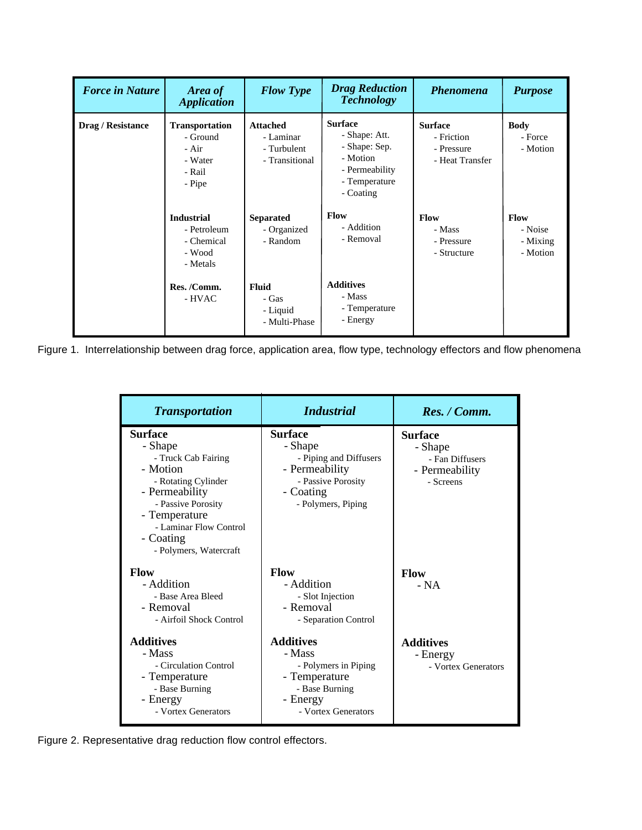| <b>Force in Nature</b> | Area of<br><b>Application</b>                                                                                               | <b>Flow Type</b>                                                                                             | <b>Drag Reduction</b><br><b>Technology</b>                                                                                                             | Phenomena                                                                                            | <b>Purpose</b>                                                           |
|------------------------|-----------------------------------------------------------------------------------------------------------------------------|--------------------------------------------------------------------------------------------------------------|--------------------------------------------------------------------------------------------------------------------------------------------------------|------------------------------------------------------------------------------------------------------|--------------------------------------------------------------------------|
| Drag / Resistance      | <b>Transportation</b><br>- Ground<br>- Air<br>- Water<br>- Rail<br>- Pipe<br><b>Industrial</b><br>- Petroleum<br>- Chemical | <b>Attached</b><br>- Laminar<br>- Turbulent<br>- Transitional<br><b>Separated</b><br>- Organized<br>- Random | <b>Surface</b><br>- Shape: Att.<br>- Shape: Sep.<br>- Motion<br>- Permeability<br>- Temperature<br>- Coating<br><b>Flow</b><br>- Addition<br>- Removal | <b>Surface</b><br>- Friction<br>- Pressure<br>- Heat Transfer<br><b>Flow</b><br>- Mass<br>- Pressure | <b>Body</b><br>- Force<br>- Motion<br><b>Flow</b><br>- Noise<br>- Mixing |
|                        | - Wood<br>- Metals<br>Res. /Comm.<br>- HVAC                                                                                 | Fluid<br>- Gas<br>- Liquid<br>- Multi-Phase                                                                  | <b>Additives</b><br>- Mass<br>- Temperature<br>- Energy                                                                                                | - Structure                                                                                          | - Motion                                                                 |

Figure 1. Interrelationship between drag force, application area, flow type, technology effectors and flow phenomena

| <b>Transportation</b>                                                                                                                                                                                         | <b>Industrial</b>                                                                                                              | Res. / Comm.                                                                |
|---------------------------------------------------------------------------------------------------------------------------------------------------------------------------------------------------------------|--------------------------------------------------------------------------------------------------------------------------------|-----------------------------------------------------------------------------|
| <b>Surface</b><br>- Shape<br>- Truck Cab Fairing<br>- Motion<br>- Rotating Cylinder<br>- Permeability<br>- Passive Porosity<br>- Temperature<br>- Laminar Flow Control<br>- Coating<br>- Polymers, Watercraft | <b>Surface</b><br>- Shape<br>- Piping and Diffusers<br>- Permeability<br>- Passive Porosity<br>- Coating<br>- Polymers, Piping | <b>Surface</b><br>- Shape<br>- Fan Diffusers<br>- Permeability<br>- Screens |
| <b>Flow</b><br>- Addition<br>- Base Area Bleed<br>- Removal<br>- Airfoil Shock Control                                                                                                                        | Flow<br>- Addition<br>- Slot Injection<br>- Removal<br>- Separation Control                                                    | Flow<br>- NA                                                                |
| <b>Additives</b><br>- Mass<br>- Circulation Control<br>- Temperature<br>- Base Burning<br>- Energy<br>- Vortex Generators                                                                                     | <b>Additives</b><br>- Mass<br>- Polymers in Piping<br>- Temperature<br>- Base Burning<br>- Energy<br>- Vortex Generators       | <b>Additives</b><br>- Energy<br>- Vortex Generators                         |

Figure 2. Representative drag reduction flow control effectors.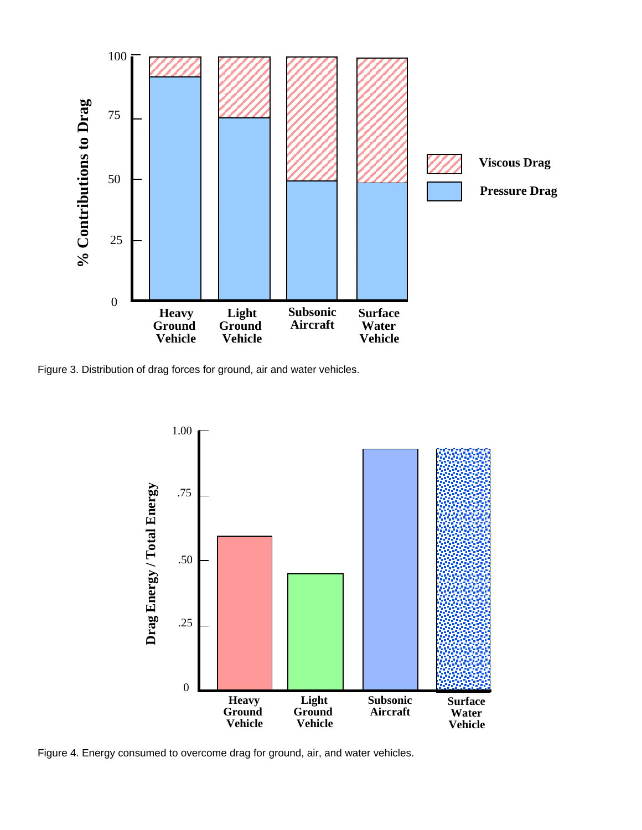

Figure 3. Distribution of drag forces for ground, air and water vehicles.



Figure 4. Energy consumed to overcome drag for ground, air, and water vehicles.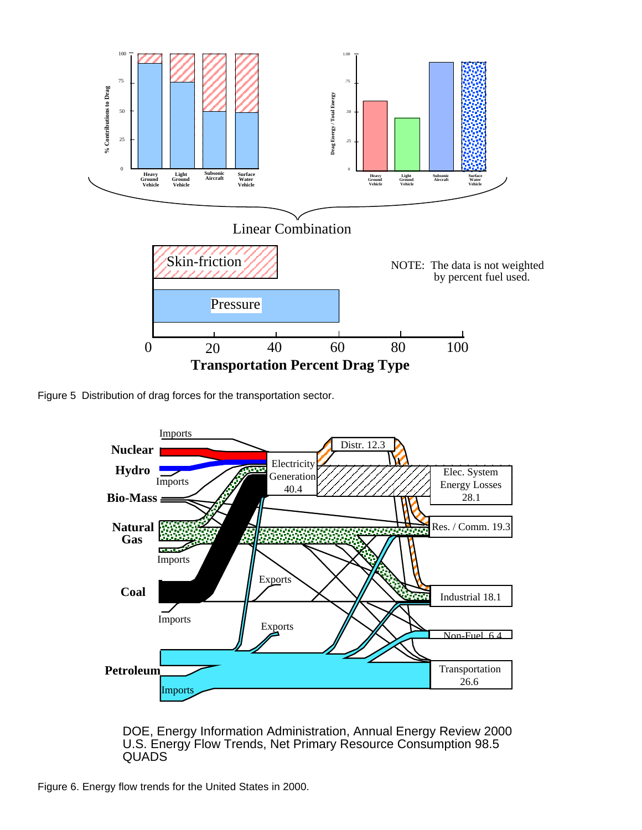

Figure 5 Distribution of drag forces for the transportation sector.



DOE, Energy Information Administration, Annual Energy Review 2000 U.S. Energy Flow Trends, Net Primary Resource Consumption 98.5 QUADS

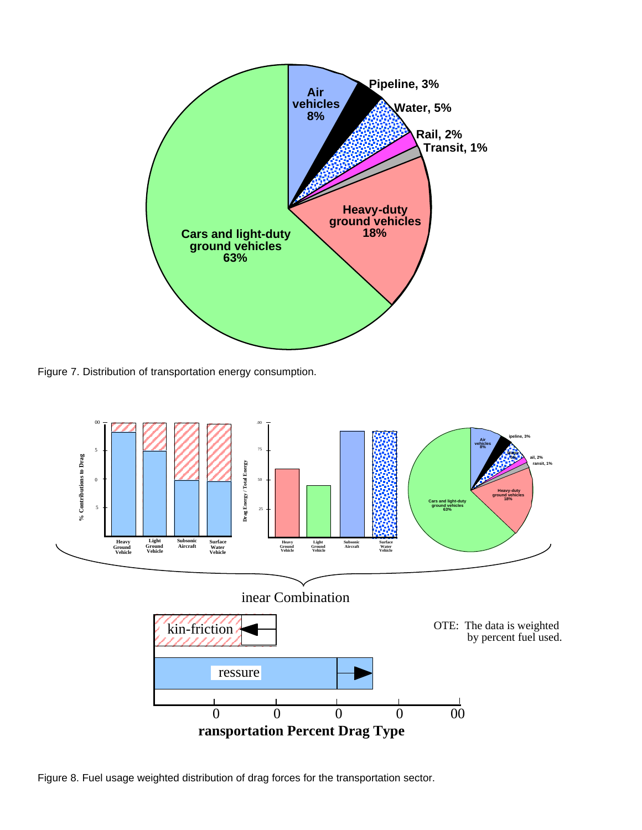

Figure 7. Distribution of transportation energy consumption.



Figure 8. Fuel usage weighted distribution of drag forces for the transportation sector.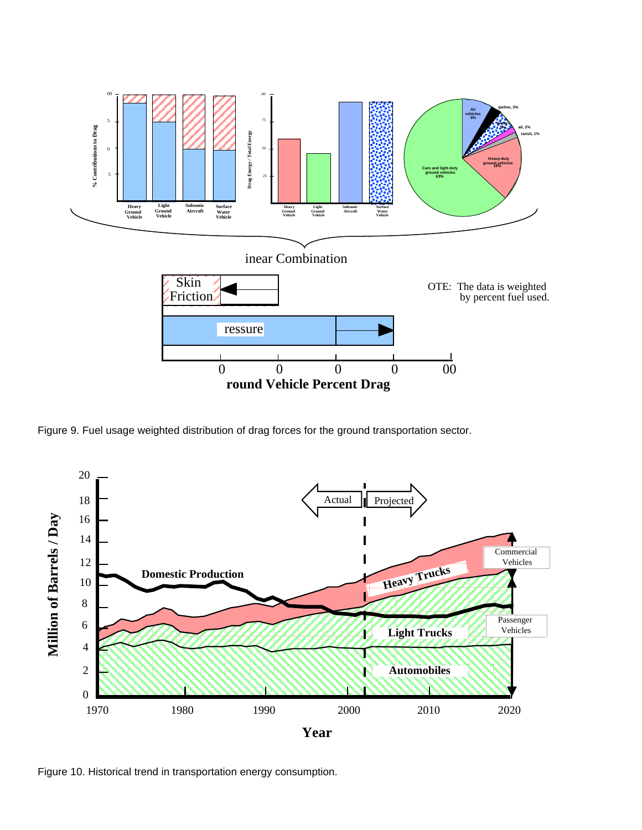

Figure 9. Fuel usage weighted distribution of drag forces for the ground transportation sector.



Figure 10. Historical trend in transportation energy consumption.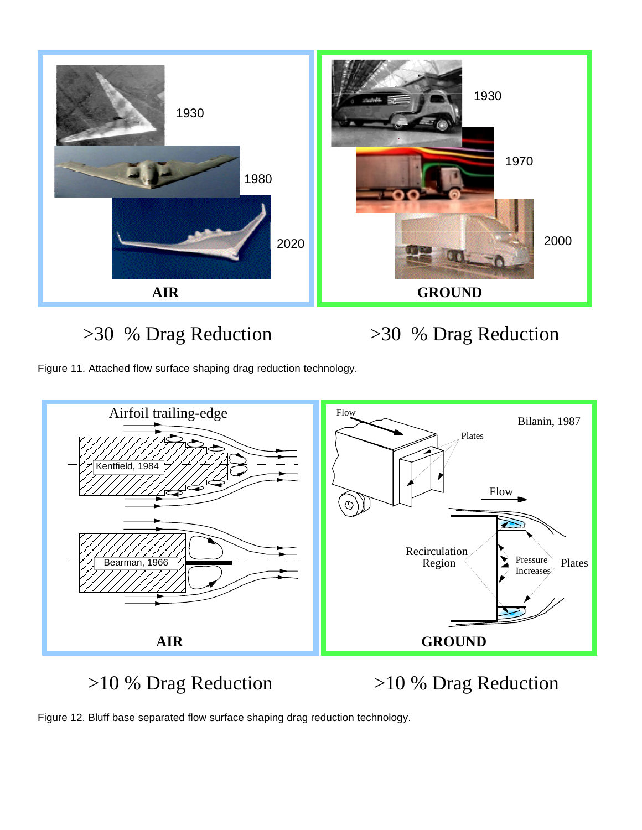

# >30 % Drag Reduction >30 % Drag Reduction

Figure 11. Attached flow surface shaping drag reduction technology.



>10 % Drag Reduction >10 % Drag Reduction

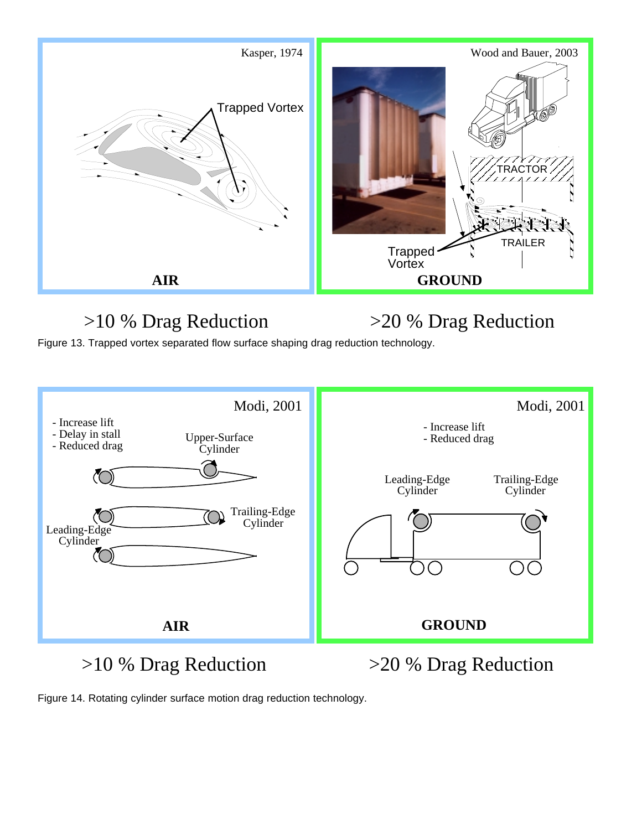

## >10 % Drag Reduction >20 % Drag Reduction

Figure 13. Trapped vortex separated flow surface shaping drag reduction technology.



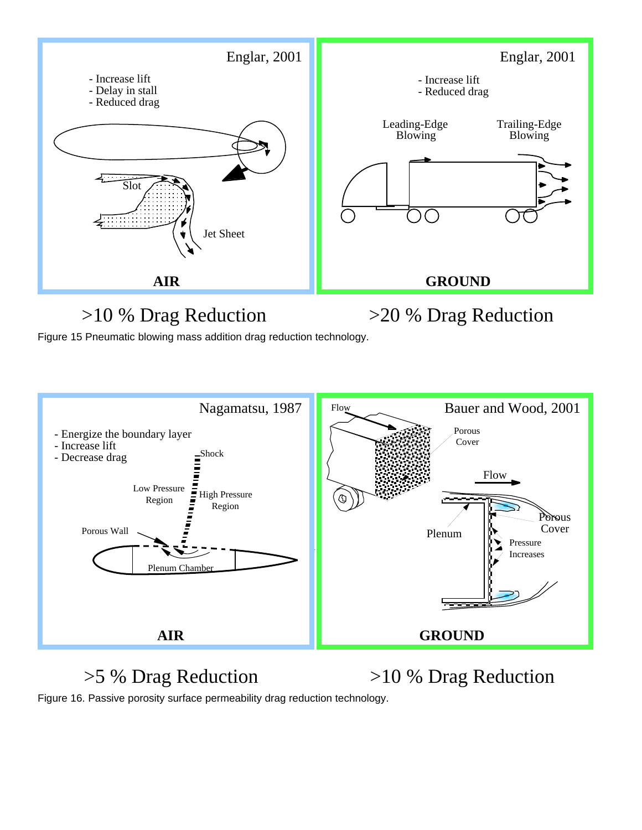

>10 % Drag Reduction >20 % Drag Reduction

Figure 15 Pneumatic blowing mass addition drag reduction technology.



>5 % Drag Reduction >10 % Drag Reduction

Figure 16. Passive porosity surface permeability drag reduction technology.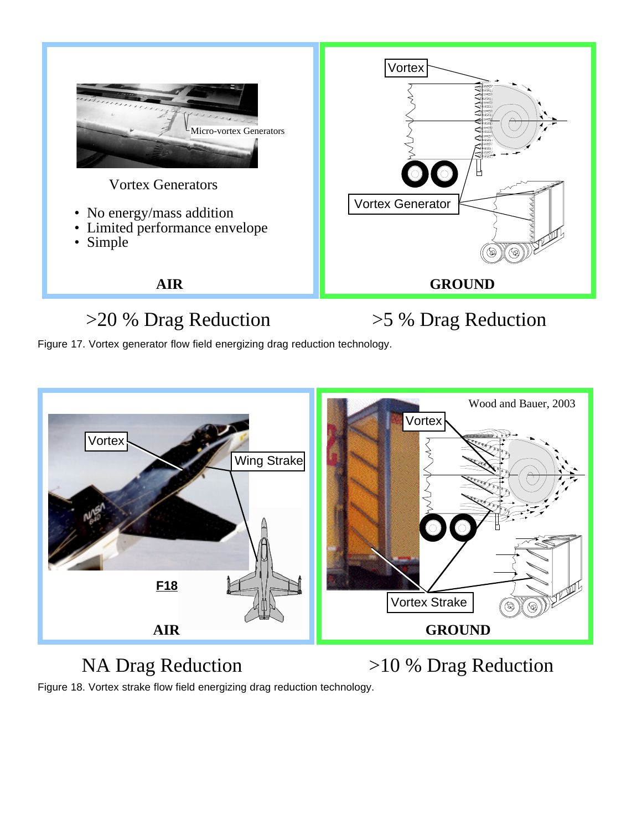

# >20 % Drag Reduction >5 % Drag Reduction

Figure 17. Vortex generator flow field energizing drag reduction technology.



NA Drag Reduction >10 % Drag Reduction

Figure 18. Vortex strake flow field energizing drag reduction technology.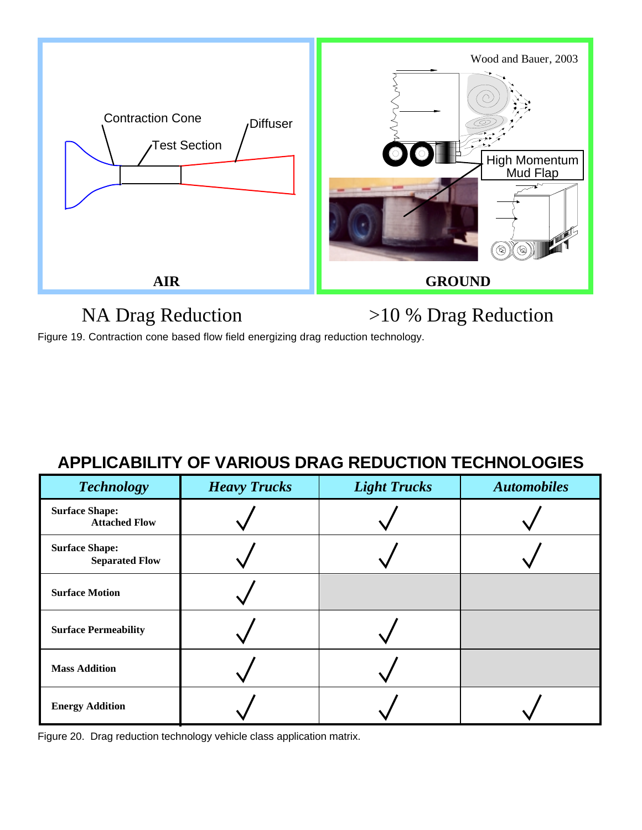

# NA Drag Reduction

# >10 % Drag Reduction

Figure 19. Contraction cone based flow field energizing drag reduction technology.

## **APPLICABILITY OF VARIOUS DRAG REDUCTION TECHNOLOGIES**

| <b>Technology</b>                              | <b>Heavy Trucks</b> | <b>Light Trucks</b> | <b>Automobiles</b> |
|------------------------------------------------|---------------------|---------------------|--------------------|
| <b>Surface Shape:</b><br><b>Attached Flow</b>  |                     |                     |                    |
| <b>Surface Shape:</b><br><b>Separated Flow</b> |                     |                     |                    |
| <b>Surface Motion</b>                          |                     |                     |                    |
| <b>Surface Permeability</b>                    |                     |                     |                    |
| <b>Mass Addition</b>                           |                     |                     |                    |
| <b>Energy Addition</b>                         |                     |                     |                    |

Figure 20. Drag reduction technology vehicle class application matrix.